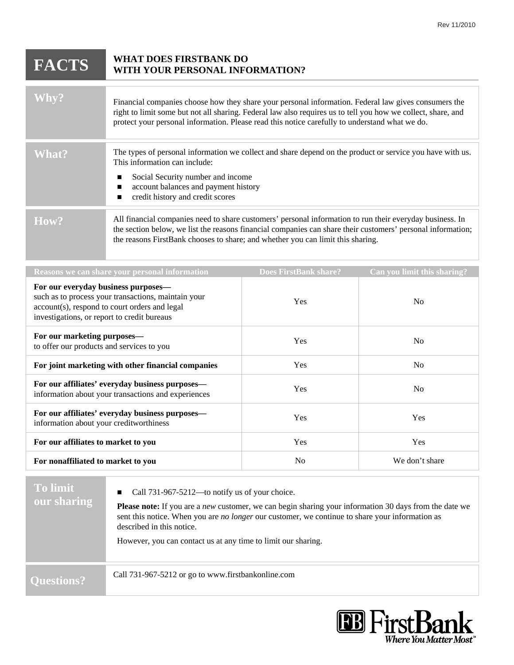| <b>FACTS</b>                                                                   | <b>WHAT DOES FIRSTBANK DO</b><br>WITH YOUR PERSONAL INFORMATION?                                                                                                                                                                                                                                                       |  |                             |
|--------------------------------------------------------------------------------|------------------------------------------------------------------------------------------------------------------------------------------------------------------------------------------------------------------------------------------------------------------------------------------------------------------------|--|-----------------------------|
| <b>Whv?</b>                                                                    | Financial companies choose how they share your personal information. Federal law gives consumers the<br>right to limit some but not all sharing. Federal law also requires us to tell you how we collect, share, and<br>protect your personal information. Please read this notice carefully to understand what we do. |  |                             |
| <b>What?</b>                                                                   | The types of personal information we collect and share depend on the product or service you have with us.<br>This information can include:<br>Social Security number and income<br>account balances and payment history<br>credit history and credit scores<br>■                                                       |  |                             |
| How?                                                                           | All financial companies need to share customers' personal information to run their everyday business. In<br>the section below, we list the reasons financial companies can share their customers' personal information;<br>the reasons FirstBank chooses to share; and whether you can limit this sharing.             |  |                             |
| Reasons we can share your personal information<br><b>Does FirstBank share?</b> |                                                                                                                                                                                                                                                                                                                        |  | Can you limit this sharing? |
| For our everyday business nurnoses—                                            |                                                                                                                                                                                                                                                                                                                        |  |                             |

| For our everyday business purposes—<br>such as to process your transactions, maintain your<br>account(s), respond to court orders and legal<br>investigations, or report to credit bureaus | <b>Yes</b> | No             |
|--------------------------------------------------------------------------------------------------------------------------------------------------------------------------------------------|------------|----------------|
| For our marketing purposes-<br>to offer our products and services to you                                                                                                                   | <b>Yes</b> | N <sub>0</sub> |
| For joint marketing with other financial companies                                                                                                                                         | <b>Yes</b> | N <sub>0</sub> |
| For our affiliates' everyday business purposes—<br>information about your transactions and experiences                                                                                     | <b>Yes</b> | N <sub>0</sub> |
| For our affiliates' everyday business purposes—<br>information about your creditworthiness                                                                                                 | <b>Yes</b> | Yes            |
| For our affiliates to market to you                                                                                                                                                        | <b>Yes</b> | <b>Yes</b>     |
| For nonaffiliated to market to you                                                                                                                                                         | No         | We don't share |

| <b>To limit</b><br>our sharing | Call 731-967-5212—to notify us of your choice.<br>$\blacksquare$<br><b>Please note:</b> If you are a <i>new</i> customer, we can begin sharing your information 30 days from the date we<br>sent this notice. When you are <i>no longer</i> our customer, we continue to share your information as<br>described in this notice.<br>However, you can contact us at any time to limit our sharing. |
|--------------------------------|--------------------------------------------------------------------------------------------------------------------------------------------------------------------------------------------------------------------------------------------------------------------------------------------------------------------------------------------------------------------------------------------------|
| <b>Ouestions?</b>              | Call 731-967-5212 or go to www.firstbankonline.com                                                                                                                                                                                                                                                                                                                                               |